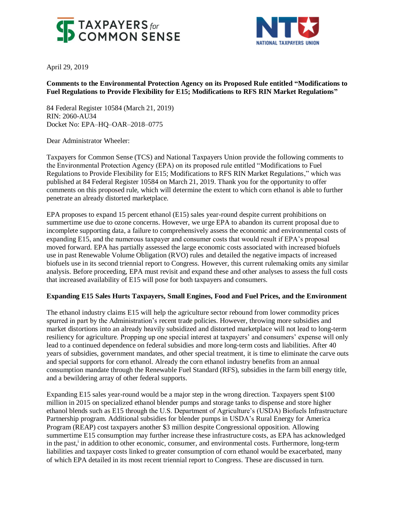



April 29, 2019

# **Comments to the Environmental Protection Agency on its Proposed Rule entitled "Modifications to Fuel Regulations to Provide Flexibility for E15; Modifications to RFS RIN Market Regulations"**

84 Federal Register 10584 (March 21, 2019) RIN: 2060-AU34 Docket No: EPA–HQ–OAR–2018–0775

Dear Administrator Wheeler:

Taxpayers for Common Sense (TCS) and National Taxpayers Union provide the following comments to the Environmental Protection Agency (EPA) on its proposed rule entitled "Modifications to Fuel Regulations to Provide Flexibility for E15; Modifications to RFS RIN Market Regulations," which was published at 84 Federal Register 10584 on March 21, 2019. Thank you for the opportunity to offer comments on this proposed rule, which will determine the extent to which corn ethanol is able to further penetrate an already distorted marketplace.

EPA proposes to expand 15 percent ethanol (E15) sales year-round despite current prohibitions on summertime use due to ozone concerns. However, we urge EPA to abandon its current proposal due to incomplete supporting data, a failure to comprehensively assess the economic and environmental costs of expanding E15, and the numerous taxpayer and consumer costs that would result if EPA's proposal moved forward. EPA has partially assessed the large economic costs associated with increased biofuels use in past Renewable Volume Obligation (RVO) rules and detailed the negative impacts of increased biofuels use in its second triennial report to Congress. However, this current rulemaking omits any similar analysis. Before proceeding, EPA must revisit and expand these and other analyses to assess the full costs that increased availability of E15 will pose for both taxpayers and consumers.

### **Expanding E15 Sales Hurts Taxpayers, Small Engines, Food and Fuel Prices, and the Environment**

The ethanol industry claims E15 will help the agriculture sector rebound from lower commodity prices spurred in part by the Administration's recent trade policies. However, throwing more subsidies and market distortions into an already heavily subsidized and distorted marketplace will not lead to long-term resiliency for agriculture. Propping up one special interest at taxpayers' and consumers' expense will only lead to a continued dependence on federal subsidies and more long-term costs and liabilities. After 40 years of subsidies, government mandates, and other special treatment, it is time to eliminate the carve outs and special supports for corn ethanol. Already the corn ethanol industry benefits from an annual consumption mandate through the Renewable Fuel Standard (RFS), subsidies in the farm bill energy title, and a bewildering array of other federal supports.

Expanding E15 sales year-round would be a major step in the wrong direction. Taxpayers spent \$100 million in 2015 on specialized ethanol blender pumps and storage tanks to dispense and store higher ethanol blends such as E15 through the U.S. Department of Agriculture's (USDA) Biofuels Infrastructure Partnership program. Additional subsidies for blender pumps in USDA's Rural Energy for America Program (REAP) cost taxpayers another \$3 million despite Congressional opposition. Allowing summertime E15 consumption may further increase these infrastructure costs, as EPA has acknowledged in the past,<sup>i</sup> in addition to other economic, consumer, and environmental costs. Furthermore, long-term liabilities and taxpayer costs linked to greater consumption of corn ethanol would be exacerbated, many of which EPA detailed in its most recent triennial report to Congress. These are discussed in turn.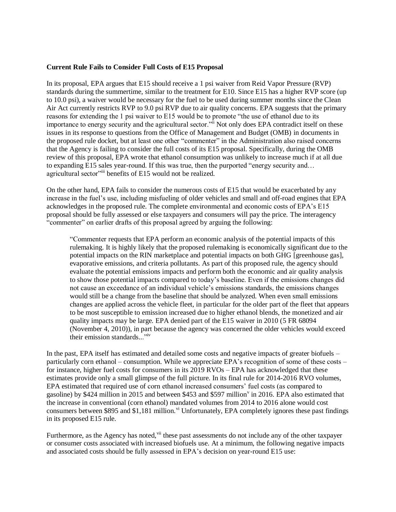#### **Current Rule Fails to Consider Full Costs of E15 Proposal**

In its proposal, EPA argues that E15 should receive a 1 psi waiver from Reid Vapor Pressure (RVP) standards during the summertime, similar to the treatment for E10. Since E15 has a higher RVP score (up to 10.0 psi), a waiver would be necessary for the fuel to be used during summer months since the Clean Air Act currently restricts RVP to 9.0 psi RVP due to air quality concerns. EPA suggests that the primary reasons for extending the 1 psi waiver to E15 would be to promote "the use of ethanol due to its importance to energy security and the agricultural sector."<sup>ii</sup> Not only does EPA contradict itself on these issues in its response to questions from the Office of Management and Budget (OMB) in documents in the proposed rule docket, but at least one other "commenter" in the Administration also raised concerns that the Agency is failing to consider the full costs of its E15 proposal. Specifically, during the OMB review of this proposal, EPA wrote that ethanol consumption was unlikely to increase much if at all due to expanding E15 sales year-round. If this was true, then the purported "energy security and… agricultural sector"iii benefits of E15 would not be realized.

On the other hand, EPA fails to consider the numerous costs of E15 that would be exacerbated by any increase in the fuel's use, including misfueling of older vehicles and small and off-road engines that EPA acknowledges in the proposed rule. The complete environmental and economic costs of EPA's E15 proposal should be fully assessed or else taxpayers and consumers will pay the price. The interagency "commenter" on earlier drafts of this proposal agreed by arguing the following:

"Commenter requests that EPA perform an economic analysis of the potential impacts of this rulemaking. It is highly likely that the proposed rulemaking is economically significant due to the potential impacts on the RIN marketplace and potential impacts on both GHG [greenhouse gas], evaporative emissions, and criteria pollutants. As part of this proposed rule, the agency should evaluate the potential emissions impacts and perform both the economic and air quality analysis to show those potential impacts compared to today's baseline. Even if the emissions changes did not cause an exceedance of an individual vehicle's emissions standards, the emissions changes would still be a change from the baseline that should be analyzed. When even small emissions changes are applied across the vehicle fleet, in particular for the older part of the fleet that appears to be most susceptible to emission increased due to higher ethanol blends, the monetized and air quality impacts may be large. EPA denied part of the E15 waiver in 2010 (5 FR 68094 (November 4, 2010)), in part because the agency was concerned the older vehicles would exceed their emission standards..."iv

In the past, EPA itself has estimated and detailed some costs and negative impacts of greater biofuels – particularly corn ethanol – consumption. While we appreciate EPA's recognition of some of these costs – for instance, higher fuel costs for consumers in its 2019 RVOs – EPA has acknowledged that these estimates provide only a small glimpse of the full picture. In its final rule for 2014-2016 RVO volumes, EPA estimated that required use of corn ethanol increased consumers' fuel costs (as compared to gasoline) by \$424 million in 2015 and between \$453 and \$597 million<sup>v</sup> in 2016. EPA also estimated that the increase in conventional (corn ethanol) mandated volumes from 2014 to 2016 alone would cost consumers between \$895 and \$1,181 million.<sup>vi</sup> Unfortunately, EPA completely ignores these past findings in its proposed E15 rule.

Furthermore, as the Agency has noted, vii these past assessments do not include any of the other taxpayer or consumer costs associated with increased biofuels use. At a minimum, the following negative impacts and associated costs should be fully assessed in EPA's decision on year-round E15 use: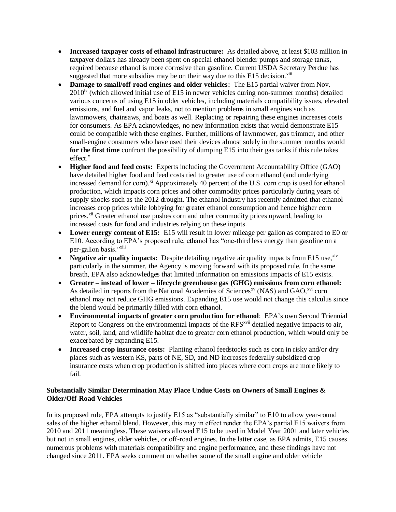- **Increased taxpayer costs of ethanol infrastructure:** As detailed above, at least \$103 million in taxpayer dollars has already been spent on special ethanol blender pumps and storage tanks, required because ethanol is more corrosive than gasoline. Current USDA Secretary Perdue has suggested that more subsidies may be on their way due to this  $E15$  decision.<sup>viii</sup>
- **Damage to small/off-road engines and older vehicles:** The E15 partial waiver from Nov.  $2010<sup>ix</sup>$  (which allowed initial use of E15 in newer vehicles during non-summer months) detailed various concerns of using E15 in older vehicles, including materials compatibility issues, elevated emissions, and fuel and vapor leaks, not to mention problems in small engines such as lawnmowers, chainsaws, and boats as well. Replacing or repairing these engines increases costs for consumers. As EPA acknowledges, no new information exists that would demonstrate E15 could be compatible with these engines. Further, millions of lawnmower, gas trimmer, and other small-engine consumers who have used their devices almost solely in the summer months would **for the first time** confront the possibility of dumping E15 into their gas tanks if this rule takes  $effect<sup>x</sup>$
- **Higher food and feed costs:** Experts including the Government Accountability Office (GAO) have detailed higher food and feed costs tied to greater use of corn ethanol (and underlying increased demand for corn).<sup>xi</sup> Approximately 40 percent of the U.S. corn crop is used for ethanol production, which impacts corn prices and other commodity prices particularly during years of supply shocks such as the 2012 drought. The ethanol industry has recently admitted that ethanol increases crop prices while lobbying for greater ethanol consumption and hence higher corn prices.<sup>xii</sup> Greater ethanol use pushes corn and other commodity prices upward, leading to increased costs for food and industries relying on these inputs.
- Lower energy content of E15: E15 will result in lower mileage per gallon as compared to E0 or E10. According to EPA's proposed rule, ethanol has "one-third less energy than gasoline on a per-gallon basis."xiii
- Negative air quality impacts: Despite detailing negative air quality impacts from E15 use, <sup>xiv</sup> particularly in the summer, the Agency is moving forward with its proposed rule. In the same breath, EPA also acknowledges that limited information on emissions impacts of E15 exists.
- **Greater – instead of lower – lifecycle greenhouse gas (GHG) emissions from corn ethanol:**  As detailed in reports from the National Academies of Sciences<sup>xv</sup> (NAS) and GAO,<sup>xvi</sup> corn ethanol may not reduce GHG emissions. Expanding E15 use would not change this calculus since the blend would be primarily filled with corn ethanol.
- **Environmental impacts of greater corn production for ethanol**: EPA's own Second Triennial Report to Congress on the environmental impacts of the RFS<sup>xvii</sup> detailed negative impacts to air, water, soil, land, and wildlife habitat due to greater corn ethanol production, which would only be exacerbated by expanding E15.
- **Increased crop insurance costs:** Planting ethanol feedstocks such as corn in risky and/or dry places such as western KS, parts of NE, SD, and ND increases federally subsidized crop insurance costs when crop production is shifted into places where corn crops are more likely to fail.

## **Substantially Similar Determination May Place Undue Costs on Owners of Small Engines & Older/Off-Road Vehicles**

In its proposed rule, EPA attempts to justify E15 as "substantially similar" to E10 to allow year-round sales of the higher ethanol blend. However, this may in effect render the EPA's partial E15 waivers from 2010 and 2011 meaningless. These waivers allowed E15 to be used in Model Year 2001 and later vehicles but not in small engines, older vehicles, or off-road engines. In the latter case, as EPA admits, E15 causes numerous problems with materials compatibility and engine performance, and these findings have not changed since 2011. EPA seeks comment on whether some of the small engine and older vehicle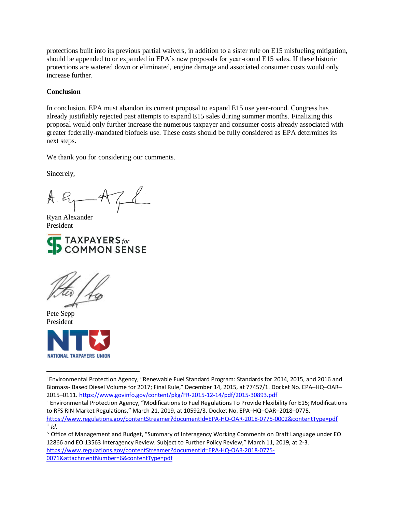protections built into its previous partial waivers, in addition to a sister rule on E15 misfueling mitigation, should be appended to or expanded in EPA's new proposals for year-round E15 sales. If these historic protections are watered down or eliminated, engine damage and associated consumer costs would only increase further.

#### **Conclusion**

In conclusion, EPA must abandon its current proposal to expand E15 use year-round. Congress has already justifiably rejected past attempts to expand E15 sales during summer months. Finalizing this proposal would only further increase the numerous taxpayer and consumer costs already associated with greater federally-mandated biofuels use. These costs should be fully considered as EPA determines its next steps.

We thank you for considering our comments.

Sincerely,

 $A.R$   $A$ 

Ryan Alexander President





Pete Sepp President

 $\overline{a}$ 



<sup>i</sup> Environmental Protection Agency, "Renewable Fuel Standard Program: Standards for 2014, 2015, and 2016 and Biomass- Based Diesel Volume for 2017; Final Rule," December 14, 2015, at 77457/1. Docket No. EPA–HQ–OAR– 2015–0111. <https://www.govinfo.gov/content/pkg/FR-2015-12-14/pdf/2015-30893.pdf>

iv Office of Management and Budget, "Summary of Interagency Working Comments on Draft Language under EO 12866 and EO 13563 Interagency Review. Subject to Further Policy Review," March 11, 2019, at 2-3. [https://www.regulations.gov/contentStreamer?documentId=EPA-HQ-OAR-2018-0775-](https://www.regulations.gov/contentStreamer?documentId=EPA-HQ-OAR-2018-0775-0071&attachmentNumber=6&contentType=pdf) [0071&attachmentNumber=6&contentType=pdf](https://www.regulations.gov/contentStreamer?documentId=EPA-HQ-OAR-2018-0775-0071&attachmentNumber=6&contentType=pdf)

ii Environmental Protection Agency, "Modifications to Fuel Regulations To Provide Flexibility for E15; Modifications to RFS RIN Market Regulations," March 21, 2019, at 10592/3. Docket No. EPA–HQ–OAR–2018–0775. <https://www.regulations.gov/contentStreamer?documentId=EPA-HQ-OAR-2018-0775-0002&contentType=pdf>  $\overline{\mathbf{u}}$  *Id.*